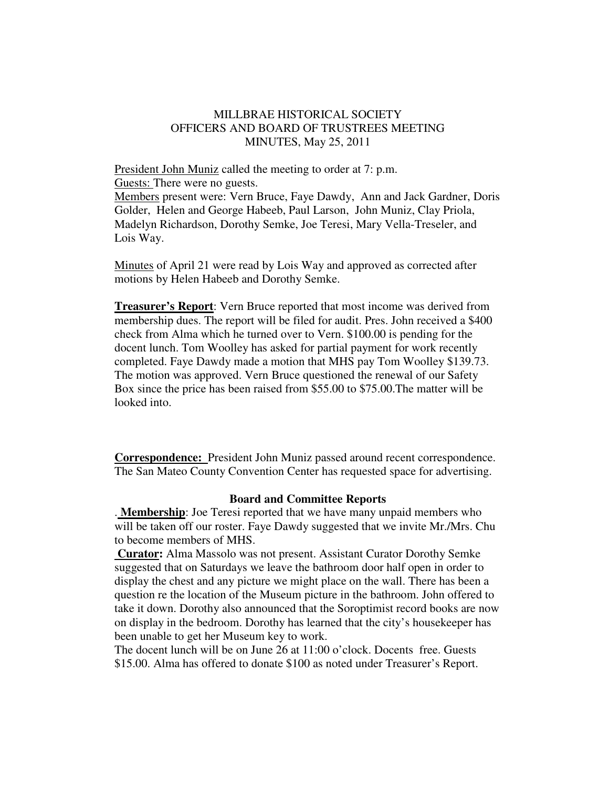## MILLBRAE HISTORICAL SOCIETY OFFICERS AND BOARD OF TRUSTREES MEETING MINUTES, May 25, 2011

President John Muniz called the meeting to order at 7: p.m. Guests: There were no guests.

Members present were: Vern Bruce, Faye Dawdy, Ann and Jack Gardner, Doris Golder, Helen and George Habeeb, Paul Larson, John Muniz, Clay Priola, Madelyn Richardson, Dorothy Semke, Joe Teresi, Mary Vella-Treseler, and Lois Way.

Minutes of April 21 were read by Lois Way and approved as corrected after motions by Helen Habeeb and Dorothy Semke.

**Treasurer's Report**: Vern Bruce reported that most income was derived from membership dues. The report will be filed for audit. Pres. John received a \$400 check from Alma which he turned over to Vern. \$100.00 is pending for the docent lunch. Tom Woolley has asked for partial payment for work recently completed. Faye Dawdy made a motion that MHS pay Tom Woolley \$139.73. The motion was approved. Vern Bruce questioned the renewal of our Safety Box since the price has been raised from \$55.00 to \$75.00.The matter will be looked into.

**Correspondence:** President John Muniz passed around recent correspondence. The San Mateo County Convention Center has requested space for advertising.

## **Board and Committee Reports**

. **Membership**: Joe Teresi reported that we have many unpaid members who will be taken off our roster. Faye Dawdy suggested that we invite Mr./Mrs. Chu to become members of MHS.

**Curator:** Alma Massolo was not present. Assistant Curator Dorothy Semke suggested that on Saturdays we leave the bathroom door half open in order to display the chest and any picture we might place on the wall. There has been a question re the location of the Museum picture in the bathroom. John offered to take it down. Dorothy also announced that the Soroptimist record books are now on display in the bedroom. Dorothy has learned that the city's housekeeper has been unable to get her Museum key to work.

The docent lunch will be on June 26 at 11:00 o'clock. Docents free. Guests \$15.00. Alma has offered to donate \$100 as noted under Treasurer's Report.